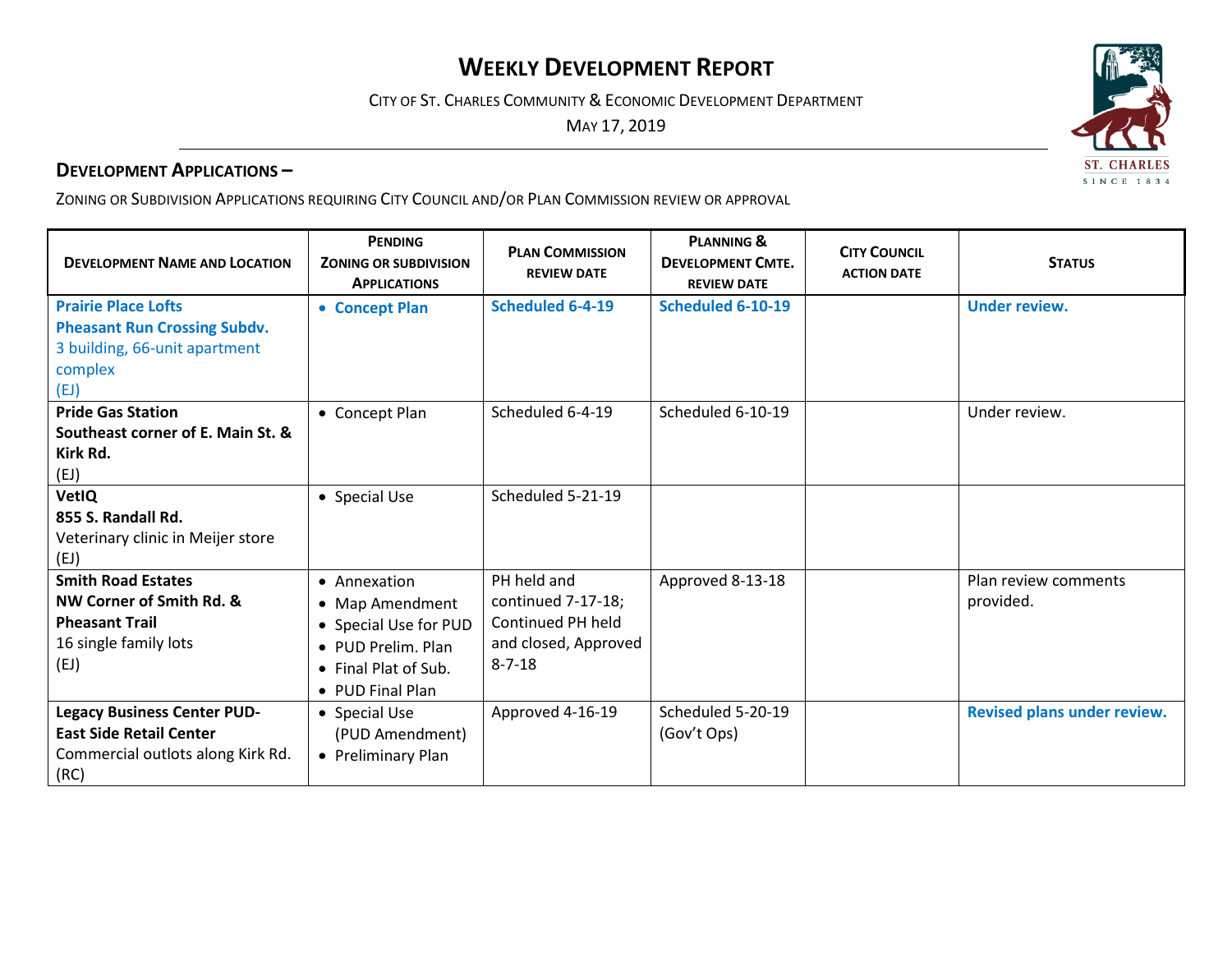## **WEEKLY DEVELOPMENT REPORT**

CITY OF ST. CHARLES COMMUNITY & ECONOMIC DEVELOPMENT DEPARTMENT

MAY 17, 2019

## **DEVELOPMENT APPLICATIONS –**

ZONING OR SUBDIVISION APPLICATIONS REQUIRING CITY COUNCIL AND/OR PLAN COMMISSION REVIEW OR APPROVAL

| <b>DEVELOPMENT NAME AND LOCATION</b>                                                                                  | <b>PENDING</b><br><b>ZONING OR SUBDIVISION</b><br><b>APPLICATIONS</b>                                                              | <b>PLAN COMMISSION</b><br><b>REVIEW DATE</b>                                                   | <b>PLANNING &amp;</b><br><b>DEVELOPMENT CMTE.</b><br><b>REVIEW DATE</b> | <b>CITY COUNCIL</b><br><b>ACTION DATE</b> | <b>STATUS</b>                     |
|-----------------------------------------------------------------------------------------------------------------------|------------------------------------------------------------------------------------------------------------------------------------|------------------------------------------------------------------------------------------------|-------------------------------------------------------------------------|-------------------------------------------|-----------------------------------|
| <b>Prairie Place Lofts</b><br><b>Pheasant Run Crossing Subdv.</b><br>3 building, 66-unit apartment<br>complex<br>(EJ) | • Concept Plan                                                                                                                     | <b>Scheduled 6-4-19</b>                                                                        | Scheduled 6-10-19                                                       |                                           | <b>Under review.</b>              |
| <b>Pride Gas Station</b><br>Southeast corner of E. Main St. &<br>Kirk Rd.<br>(EJ)                                     | • Concept Plan                                                                                                                     | Scheduled 6-4-19                                                                               | Scheduled 6-10-19                                                       |                                           | Under review.                     |
| <b>VetIQ</b><br>855 S. Randall Rd.<br>Veterinary clinic in Meijer store<br>(EJ)                                       | • Special Use                                                                                                                      | Scheduled 5-21-19                                                                              |                                                                         |                                           |                                   |
| <b>Smith Road Estates</b><br>NW Corner of Smith Rd. &<br><b>Pheasant Trail</b><br>16 single family lots<br>(EJ)       | • Annexation<br>• Map Amendment<br>• Special Use for PUD<br>• PUD Prelim. Plan<br>$\bullet$ Final Plat of Sub.<br>• PUD Final Plan | PH held and<br>continued 7-17-18;<br>Continued PH held<br>and closed, Approved<br>$8 - 7 - 18$ | Approved 8-13-18                                                        |                                           | Plan review comments<br>provided. |
| <b>Legacy Business Center PUD-</b><br><b>East Side Retail Center</b><br>Commercial outlots along Kirk Rd.<br>(RC)     | • Special Use<br>(PUD Amendment)<br>• Preliminary Plan                                                                             | Approved 4-16-19                                                                               | Scheduled 5-20-19<br>(Gov't Ops)                                        |                                           | Revised plans under review.       |

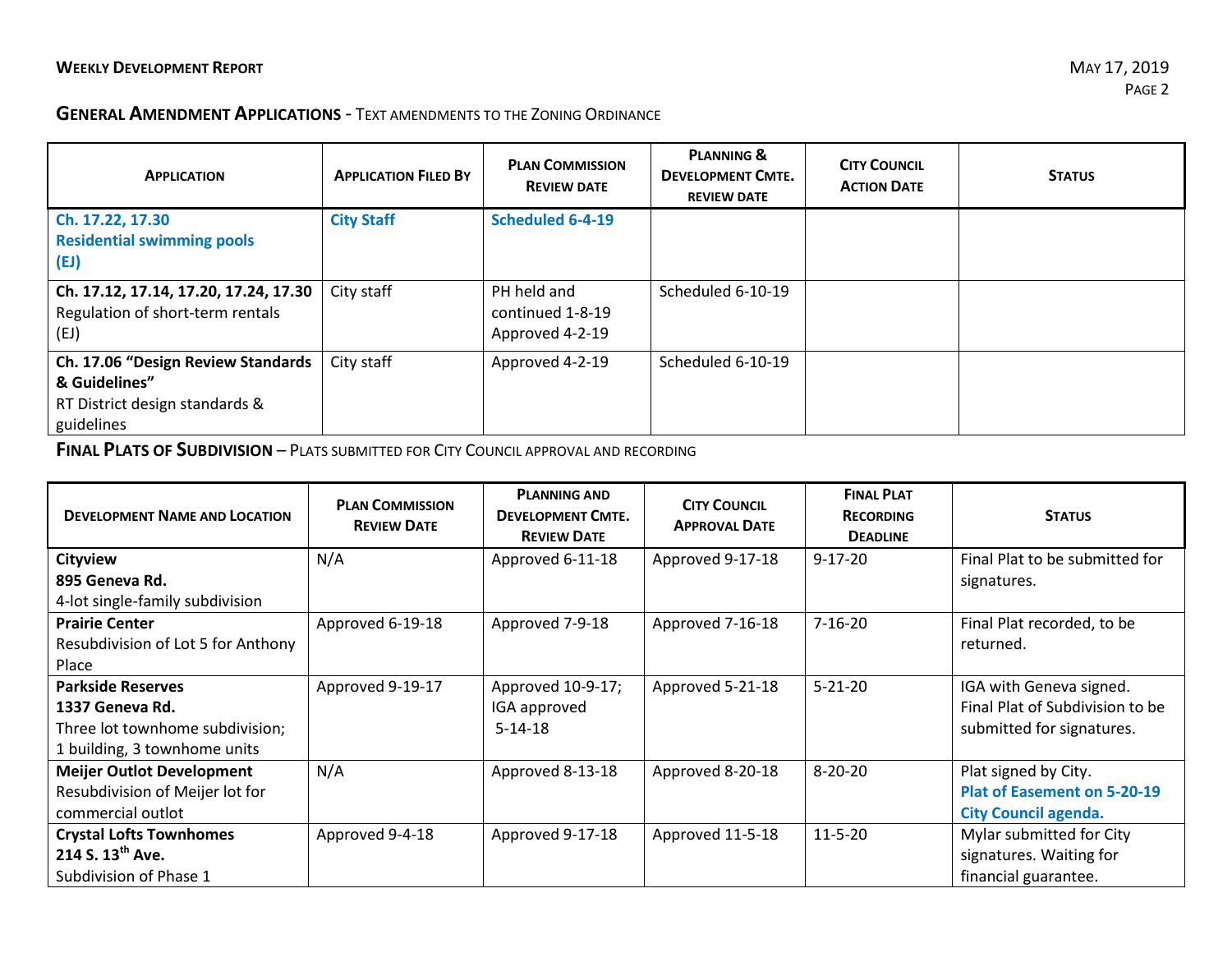## **GENERAL AMENDMENT APPLICATIONS** - TEXT AMENDMENTS TO THE ZONING ORDINANCE

| <b>APPLICATION</b>                    | <b>APPLICATION FILED BY</b> | <b>PLAN COMMISSION</b><br><b>REVIEW DATE</b> | <b>PLANNING &amp;</b><br><b>DEVELOPMENT CMTE.</b><br><b>REVIEW DATE</b> | <b>CITY COUNCIL</b><br><b>ACTION DATE</b> | <b>STATUS</b> |
|---------------------------------------|-----------------------------|----------------------------------------------|-------------------------------------------------------------------------|-------------------------------------------|---------------|
| Ch. 17.22, 17.30                      | <b>City Staff</b>           | <b>Scheduled 6-4-19</b>                      |                                                                         |                                           |               |
| <b>Residential swimming pools</b>     |                             |                                              |                                                                         |                                           |               |
| (EJ)                                  |                             |                                              |                                                                         |                                           |               |
| Ch. 17.12, 17.14, 17.20, 17.24, 17.30 | City staff                  | PH held and                                  | Scheduled 6-10-19                                                       |                                           |               |
| Regulation of short-term rentals      |                             | continued 1-8-19                             |                                                                         |                                           |               |
| (EJ)                                  |                             | Approved 4-2-19                              |                                                                         |                                           |               |
| Ch. 17.06 "Design Review Standards    | City staff                  | Approved 4-2-19                              | Scheduled 6-10-19                                                       |                                           |               |
| & Guidelines"                         |                             |                                              |                                                                         |                                           |               |
| RT District design standards &        |                             |                                              |                                                                         |                                           |               |
| guidelines                            |                             |                                              |                                                                         |                                           |               |

**FINAL PLATS OF SUBDIVISION** – PLATS SUBMITTED FOR CITY COUNCIL APPROVAL AND RECORDING

| <b>DEVELOPMENT NAME AND LOCATION</b>                                                                           | <b>PLAN COMMISSION</b><br><b>REVIEW DATE</b> | <b>PLANNING AND</b><br><b>DEVELOPMENT CMTE.</b><br><b>REVIEW DATE</b> | <b>CITY COUNCIL</b><br><b>APPROVAL DATE</b> | <b>FINAL PLAT</b><br><b>RECORDING</b><br><b>DEADLINE</b> | <b>STATUS</b>                                                                             |
|----------------------------------------------------------------------------------------------------------------|----------------------------------------------|-----------------------------------------------------------------------|---------------------------------------------|----------------------------------------------------------|-------------------------------------------------------------------------------------------|
| <b>Cityview</b><br>895 Geneva Rd.                                                                              | N/A                                          | Approved 6-11-18                                                      | Approved 9-17-18                            | $9-17-20$                                                | Final Plat to be submitted for                                                            |
| 4-lot single-family subdivision                                                                                |                                              |                                                                       |                                             |                                                          | signatures.                                                                               |
| <b>Prairie Center</b><br>Resubdivision of Lot 5 for Anthony<br>Place                                           | Approved 6-19-18                             | Approved 7-9-18                                                       | Approved 7-16-18                            | $7 - 16 - 20$                                            | Final Plat recorded, to be<br>returned.                                                   |
| <b>Parkside Reserves</b><br>1337 Geneva Rd.<br>Three lot townhome subdivision;<br>1 building, 3 townhome units | Approved 9-19-17                             | Approved 10-9-17;<br>IGA approved<br>$5 - 14 - 18$                    | Approved 5-21-18                            | $5 - 21 - 20$                                            | IGA with Geneva signed.<br>Final Plat of Subdivision to be<br>submitted for signatures.   |
| <b>Meijer Outlot Development</b><br>Resubdivision of Meijer lot for<br>commercial outlot                       | N/A                                          | Approved 8-13-18                                                      | Approved 8-20-18                            | $8 - 20 - 20$                                            | Plat signed by City.<br><b>Plat of Easement on 5-20-19</b><br><b>City Council agenda.</b> |
| <b>Crystal Lofts Townhomes</b><br>214 S. 13 <sup>th</sup> Ave.<br>Subdivision of Phase 1                       | Approved 9-4-18                              | Approved 9-17-18                                                      | Approved 11-5-18                            | $11 - 5 - 20$                                            | Mylar submitted for City<br>signatures. Waiting for<br>financial guarantee.               |